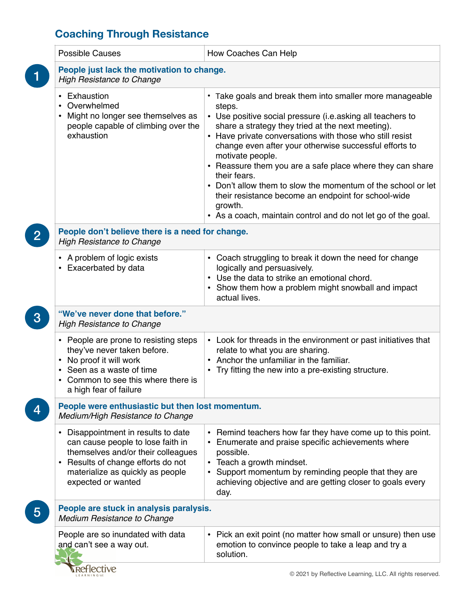## **Coaching Through Resistance**

|                                                                                      | <b>Possible Causes</b>                                                                                                                                                                                                               | How Coaches Can Help                                                                                                                                                                                                                                                                                                                                                                                                                                                                                                                                                                                            |  |
|--------------------------------------------------------------------------------------|--------------------------------------------------------------------------------------------------------------------------------------------------------------------------------------------------------------------------------------|-----------------------------------------------------------------------------------------------------------------------------------------------------------------------------------------------------------------------------------------------------------------------------------------------------------------------------------------------------------------------------------------------------------------------------------------------------------------------------------------------------------------------------------------------------------------------------------------------------------------|--|
| 1                                                                                    | People just lack the motivation to change.<br><b>High Resistance to Change</b>                                                                                                                                                       |                                                                                                                                                                                                                                                                                                                                                                                                                                                                                                                                                                                                                 |  |
|                                                                                      | • Exhaustion<br>Overwhelmed<br>Might no longer see themselves as<br>people capable of climbing over the<br>exhaustion                                                                                                                | • Take goals and break them into smaller more manageable<br>steps.<br>• Use positive social pressure (i.e.asking all teachers to<br>share a strategy they tried at the next meeting).<br>• Have private conversations with those who still resist<br>change even after your otherwise successful efforts to<br>motivate people.<br>• Reassure them you are a safe place where they can share<br>their fears.<br>• Don't allow them to slow the momentum of the school or let<br>their resistance become an endpoint for school-wide<br>growth.<br>• As a coach, maintain control and do not let go of the goal. |  |
| $\overline{2}$                                                                       | People don't believe there is a need for change.<br><b>High Resistance to Change</b>                                                                                                                                                 |                                                                                                                                                                                                                                                                                                                                                                                                                                                                                                                                                                                                                 |  |
|                                                                                      | A problem of logic exists<br>$\bullet$<br>Exacerbated by data                                                                                                                                                                        | • Coach struggling to break it down the need for change<br>logically and persuasively.<br>• Use the data to strike an emotional chord.<br>• Show them how a problem might snowball and impact<br>actual lives.                                                                                                                                                                                                                                                                                                                                                                                                  |  |
| 3                                                                                    | "We've never done that before."<br><b>High Resistance to Change</b>                                                                                                                                                                  |                                                                                                                                                                                                                                                                                                                                                                                                                                                                                                                                                                                                                 |  |
|                                                                                      | • People are prone to resisting steps<br>they've never taken before.<br>No proof it will work<br>Seen as a waste of time<br>Common to see this where there is<br>a high fear of failure                                              | • Look for threads in the environment or past initiatives that<br>relate to what you are sharing.<br>• Anchor the unfamiliar in the familiar.<br>• Try fitting the new into a pre-existing structure.                                                                                                                                                                                                                                                                                                                                                                                                           |  |
| People were enthusiastic but then lost momentum.<br>Medium/High Resistance to Change |                                                                                                                                                                                                                                      |                                                                                                                                                                                                                                                                                                                                                                                                                                                                                                                                                                                                                 |  |
|                                                                                      | Disappointment in results to date<br>$\bullet$<br>can cause people to lose faith in<br>themselves and/or their colleagues<br>Results of change efforts do not<br>$\bullet$<br>materialize as quickly as people<br>expected or wanted | • Remind teachers how far they have come up to this point.<br>Enumerate and praise specific achievements where<br>possible.<br>• Teach a growth mindset.<br>Support momentum by reminding people that they are<br>achieving objective and are getting closer to goals every<br>day.                                                                                                                                                                                                                                                                                                                             |  |
| 5                                                                                    | People are stuck in analysis paralysis.<br><b>Medium Resistance to Change</b>                                                                                                                                                        |                                                                                                                                                                                                                                                                                                                                                                                                                                                                                                                                                                                                                 |  |
|                                                                                      | People are so inundated with data<br>and can't see a way out.                                                                                                                                                                        | Pick an exit point (no matter how small or unsure) then use<br>$\bullet$<br>emotion to convince people to take a leap and try a<br>solution.                                                                                                                                                                                                                                                                                                                                                                                                                                                                    |  |
|                                                                                      | Reflective                                                                                                                                                                                                                           | © 2021 by Reflective Learning, LLC. All rights reserved.                                                                                                                                                                                                                                                                                                                                                                                                                                                                                                                                                        |  |